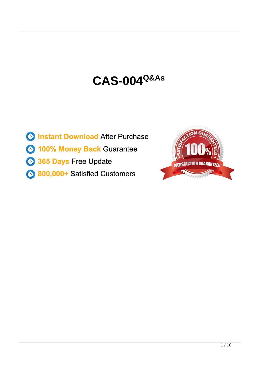# **CAS-004Q&As**

- **B** Instant Download After Purchase **3 100% Money Back Guarantee** 365 Days Free Update
- 800,000+ Satisfied Customers

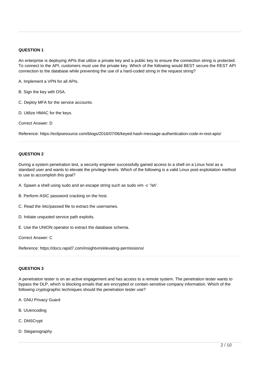# **QUESTION 1**

An enterprise is deploying APIs that utilize a private key and a public key to ensure the connection string is protected. To connect to the API, customers must use the private key. Which of the following would BEST secure the REST API connection to the database while preventing the use of a hard-coded string in the request string?

A. Implement a VPN for all APIs.

B. Sign the key with DSA.

- C. Deploy MFA for the service accounts.
- D. Utilize HMAC for the keys.

Correct Answer: D

Reference: https://eclipsesource.com/blogs/2016/07/06/keyed-hash-message-authentication-code-in-rest-apis/

#### **QUESTION 2**

During a system penetration test, a security engineer successfully gained access to a shell on a Linux host as a standard user and wants to elevate the privilege levels. Which of the following is a valid Linux post-exploitation method to use to accomplish this goal?

- A. Spawn a shell using sudo and an escape string such as sudo vim -c '!sh'.
- B. Perform ASIC password cracking on the host.
- C. Read the /etc/passwd file to extract the usernames.
- D. Initiate unquoted service path exploits.
- E. Use the UNION operator to extract the database schema.

Correct Answer: C

Reference: https://docs.rapid7.com/insightvm/elevating-permissions/

## **QUESTION 3**

A penetration tester is on an active engagement and has access to a remote system. The penetration tester wants to bypass the DLP, which is blocking emails that are encrypted or contain sensitive company information. Which of the following cryptographic techniques should the penetration tester use?

- A. GNU Privacy Guard
- B. UUencoding
- C. DNSCrypt
- D. Steganography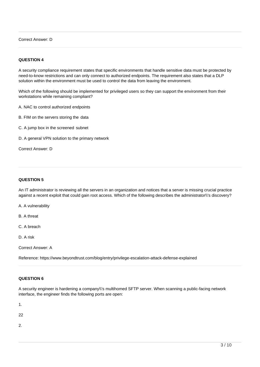## Correct Answer: D

# **QUESTION 4**

A security compliance requirement states that specific environments that handle sensitive data must be protected by need-to-know restrictions and can only connect to authorized endpoints. The requirement also states that a DLP solution within the environment must be used to control the data from leaving the environment.

Which of the following should be implemented for privileged users so they can support the environment from their workstations while remaining compliant?

A. NAC to control authorized endpoints

B. FIM on the servers storing the data

C. A jump box in the screened subnet

D. A general VPN solution to the primary network

Correct Answer: D

## **QUESTION 5**

An IT administrator is reviewing all the servers in an organization and notices that a server is missing crucial practice against a recent exploit that could gain root access. Which of the following describes the administrator\\'s discovery?

A. A vulnerability

B. A threat

C. A breach

D. A risk

Correct Answer: A

Reference: [https://www.beyondtrust.com/blog/entry/privilege-escalation-attack-defense-explained](http://www.beyondtrust.com/blog/entry/privilege-escalation-attack-defense-explained)

#### **QUESTION 6**

A security engineer is hardening a company\\'s multihomed SFTP server. When scanning a public-facing network interface, the engineer finds the following ports are open:

1.

22

2.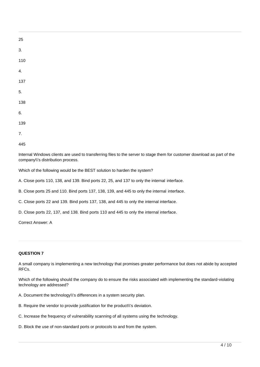| 25               |  |  |  |
|------------------|--|--|--|
| $\overline{3}$ . |  |  |  |
| 110              |  |  |  |
| $\overline{4}$ . |  |  |  |
| $137$            |  |  |  |
| $\overline{5}$ . |  |  |  |
| 138              |  |  |  |
| 6.               |  |  |  |
| 139              |  |  |  |
| $\overline{7}$ . |  |  |  |
|                  |  |  |  |

445

Internal Windows clients are used to transferring files to the server to stage them for customer download as part of the company\\'s distribution process.

Which of the following would be the BEST solution to harden the system?

A. Close ports 110, 138, and 139. Bind ports 22, 25, and 137 to only the internal interface.

B. Close ports 25 and 110. Bind ports 137, 138, 139, and 445 to only the internal interface.

C. Close ports 22 and 139. Bind ports 137, 138, and 445 to only the internal interface.

D. Close ports 22, 137, and 138. Bind ports 110 and 445 to only the internal interface.

Correct Answer: A

#### **QUESTION 7**

A small company is implementing a new technology that promises greater performance but does not abide by accepted RFCs.

Which of the following should the company do to ensure the risks associated with implementing the standard-violating technology are addressed?

- A. Document the technology\\'s differences in a system security plan.
- B. Require the vendor to provide justification for the product\\'s deviation.
- C. Increase the frequency of vulnerability scanning of all systems using the technology.
- D. Block the use of non-standard ports or protocols to and from the system.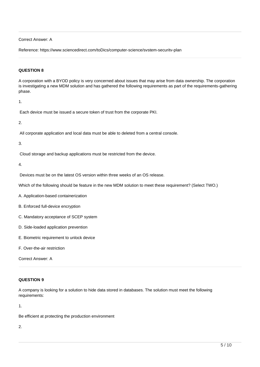# Correct Answer: A

Reference: [https://www.sciencedirect.com/toDics/computer-science/svstem-securitv-plan](http://www.sciencedirect.com/toDics/computer-science/svstem-securitv-plan)

# **QUESTION 8**

A corporation with a BYOD policy is very concerned about issues that may arise from data ownership. The corporation is investigating a new MDM solution and has gathered the following requirements as part of the requirements-gathering phase.

1.

Each device must be issued a secure token of trust from the corporate PKI.

2.

All corporate application and local data must be able to deleted from a central console.

3.

Cloud storage and backup applications must be restricted from the device.

4.

Devices must be on the latest OS version within three weeks of an OS release.

Which of the following should be feature in the new MDM solution to meet these requirement? (Select TWO.)

A. Application-based containerization

B. Enforced full-device encryption

C. Mandatory acceptance of SCEP system

- D. Side-loaded application prevention
- E. Biometric requirement to unlock device
- F. Over-the-air restriction

Correct Answer: A

# **QUESTION 9**

A company is looking for a solution to hide data stored in databases. The solution must meet the following requirements:

1.

Be efficient at protecting the production environment

2.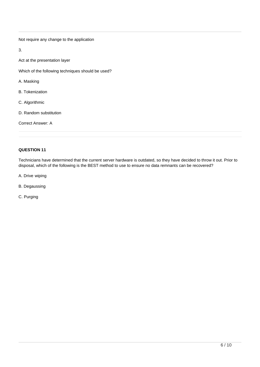Not require any change to the application

3.

Act at the presentation layer

Which of the following techniques should be used?

- A. Masking
- B. Tokenization
- C. Algorithmic
- D. Random substitution

Correct Answer: A

# **QUESTION 11**

Technicians have determined that the current server hardware is outdated, so they have decided to throw it out. Prior to disposal, which of the following is the BEST method to use to ensure no data remnants can be recovered?

- A. Drive wiping
- B. Degaussing
- C. Purging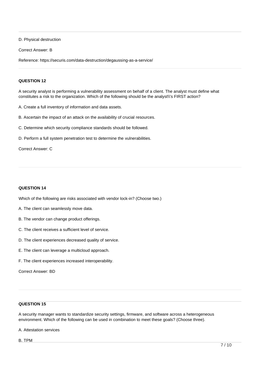D. Physical destruction

Correct Answer: B

Reference: https://securis.com/data-destruction/degaussing-as-a-service/

## **QUESTION 12**

A security analyst is performing a vulnerability assessment on behalf of a client. The analyst must define what constitutes a risk to the organization. Which of the following should be the analyst\\'s FIRST action?

A. Create a full inventory of information and data assets.

B. Ascertain the impact of an attack on the availability of crucial resources.

C. Determine which security compliance standards should be followed.

D. Perform a full system penetration test to determine the vulnerabilities.

Correct Answer: C

# **QUESTION 14**

Which of the following are risks associated with vendor lock-in? (Choose two.)

- A. The client can seamlessly move data.
- B. The vendor can change product offerings.
- C. The client receives a sufficient level of service.
- D. The client experiences decreased quality of service.
- E. The client can leverage a multicloud approach.
- F. The client experiences increased interoperability.

Correct Answer: BD

# **QUESTION 15**

A security manager wants to standardize security settings, firmware, and software across a heterogeneous environment. Which of the following can be used in combination to meet these goals? (Choose three).

A. Attestation services

B. TPM